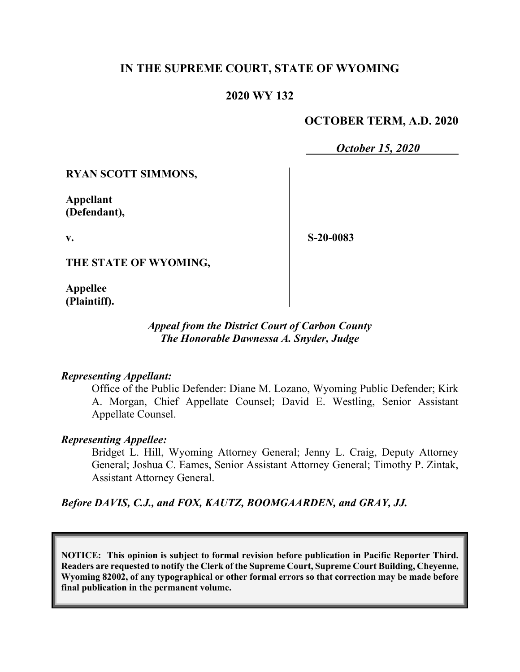# **IN THE SUPREME COURT, STATE OF WYOMING**

# **2020 WY 132**

# **OCTOBER TERM, A.D. 2020**

*October 15, 2020*

**RYAN SCOTT SIMMONS,**

**Appellant (Defendant),**

**v.**

**S-20-0083**

**THE STATE OF WYOMING,**

**Appellee (Plaintiff).**

### *Appeal from the District Court of Carbon County The Honorable Dawnessa A. Snyder, Judge*

#### *Representing Appellant:*

Office of the Public Defender: Diane M. Lozano, Wyoming Public Defender; Kirk A. Morgan, Chief Appellate Counsel; David E. Westling, Senior Assistant Appellate Counsel.

#### *Representing Appellee:*

Bridget L. Hill, Wyoming Attorney General; Jenny L. Craig, Deputy Attorney General; Joshua C. Eames, Senior Assistant Attorney General; Timothy P. Zintak, Assistant Attorney General.

*Before DAVIS, C.J., and FOX, KAUTZ, BOOMGAARDEN, and GRAY, JJ.*

**NOTICE: This opinion is subject to formal revision before publication in Pacific Reporter Third. Readers are requested to notify the Clerk of the Supreme Court, Supreme Court Building, Cheyenne, Wyoming 82002, of any typographical or other formal errors so that correction may be made before final publication in the permanent volume.**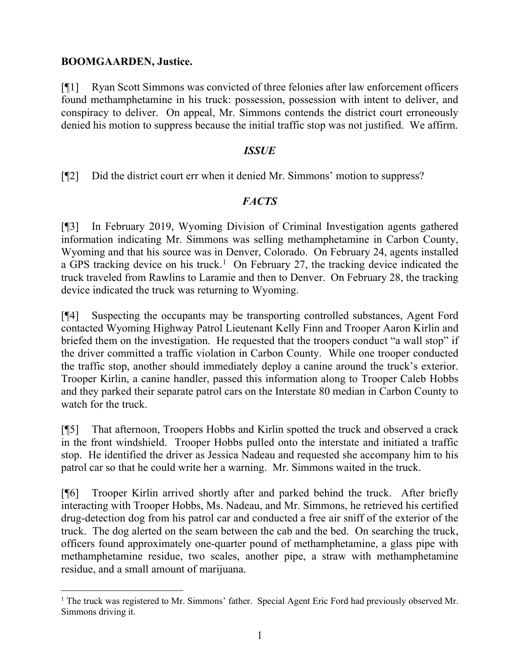### **BOOMGAARDEN, Justice.**

[¶1] Ryan Scott Simmons was convicted of three felonies after law enforcement officers found methamphetamine in his truck: possession, possession with intent to deliver, and conspiracy to deliver. On appeal, Mr. Simmons contends the district court erroneously denied his motion to suppress because the initial traffic stop was not justified. We affirm.

### *ISSUE*

[¶2] Did the district court err when it denied Mr. Simmons' motion to suppress?

# *FACTS*

[¶3] In February 2019, Wyoming Division of Criminal Investigation agents gathered information indicating Mr. Simmons was selling methamphetamine in Carbon County, Wyoming and that his source was in Denver, Colorado. On February 24, agents installed a GPS tracking device on his truck.<sup>[1](#page-1-0)</sup> On February 27, the tracking device indicated the truck traveled from Rawlins to Laramie and then to Denver. On February 28, the tracking device indicated the truck was returning to Wyoming.

[¶4] Suspecting the occupants may be transporting controlled substances, Agent Ford contacted Wyoming Highway Patrol Lieutenant Kelly Finn and Trooper Aaron Kirlin and briefed them on the investigation. He requested that the troopers conduct "a wall stop" if the driver committed a traffic violation in Carbon County. While one trooper conducted the traffic stop, another should immediately deploy a canine around the truck's exterior. Trooper Kirlin, a canine handler, passed this information along to Trooper Caleb Hobbs and they parked their separate patrol cars on the Interstate 80 median in Carbon County to watch for the truck.

[¶5] That afternoon, Troopers Hobbs and Kirlin spotted the truck and observed a crack in the front windshield. Trooper Hobbs pulled onto the interstate and initiated a traffic stop. He identified the driver as Jessica Nadeau and requested she accompany him to his patrol car so that he could write her a warning. Mr. Simmons waited in the truck.

[¶6] Trooper Kirlin arrived shortly after and parked behind the truck. After briefly interacting with Trooper Hobbs, Ms. Nadeau, and Mr. Simmons, he retrieved his certified drug-detection dog from his patrol car and conducted a free air sniff of the exterior of the truck. The dog alerted on the seam between the cab and the bed. On searching the truck, officers found approximately one-quarter pound of methamphetamine, a glass pipe with methamphetamine residue, two scales, another pipe, a straw with methamphetamine residue, and a small amount of marijuana.

<span id="page-1-0"></span><sup>&</sup>lt;sup>1</sup> The truck was registered to Mr. Simmons' father. Special Agent Eric Ford had previously observed Mr. Simmons driving it.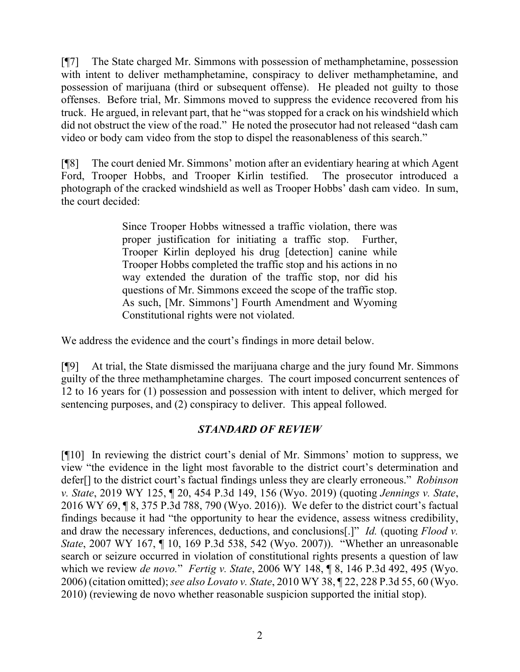[¶7] The State charged Mr. Simmons with possession of methamphetamine, possession with intent to deliver methamphetamine, conspiracy to deliver methamphetamine, and possession of marijuana (third or subsequent offense). He pleaded not guilty to those offenses. Before trial, Mr. Simmons moved to suppress the evidence recovered from his truck. He argued, in relevant part, that he "was stopped for a crack on his windshield which did not obstruct the view of the road." He noted the prosecutor had not released "dash cam video or body cam video from the stop to dispel the reasonableness of this search."

[¶8] The court denied Mr. Simmons' motion after an evidentiary hearing at which Agent Ford, Trooper Hobbs, and Trooper Kirlin testified. The prosecutor introduced a photograph of the cracked windshield as well as Trooper Hobbs' dash cam video. In sum, the court decided:

> Since Trooper Hobbs witnessed a traffic violation, there was proper justification for initiating a traffic stop. Further, Trooper Kirlin deployed his drug [detection] canine while Trooper Hobbs completed the traffic stop and his actions in no way extended the duration of the traffic stop, nor did his questions of Mr. Simmons exceed the scope of the traffic stop. As such, [Mr. Simmons'] Fourth Amendment and Wyoming Constitutional rights were not violated.

We address the evidence and the court's findings in more detail below.

[¶9] At trial, the State dismissed the marijuana charge and the jury found Mr. Simmons guilty of the three methamphetamine charges. The court imposed concurrent sentences of 12 to 16 years for (1) possession and possession with intent to deliver, which merged for sentencing purposes, and (2) conspiracy to deliver. This appeal followed.

# *STANDARD OF REVIEW*

[¶10] In reviewing the district court's denial of Mr. Simmons' motion to suppress, we view "the evidence in the light most favorable to the district court's determination and defer[] to the district court's factual findings unless they are clearly erroneous." *Robinson v. State*, 2019 WY 125, ¶ 20, 454 P.3d 149, 156 (Wyo. 2019) (quoting *Jennings v. State*, 2016 WY 69, ¶ 8, 375 P.3d 788, 790 (Wyo. 2016)). We defer to the district court's factual findings because it had "the opportunity to hear the evidence, assess witness credibility, and draw the necessary inferences, deductions, and conclusions[.]" *Id.* (quoting *Flood v. State*, 2007 WY 167, ¶ 10, 169 P.3d 538, 542 (Wyo. 2007)). "Whether an unreasonable search or seizure occurred in violation of constitutional rights presents a question of law which we review *de novo.*" *Fertig v. State*, 2006 WY 148, ¶ 8, 146 P.3d 492, 495 (Wyo. 2006) (citation omitted); *see also Lovato v. State*, 2010 WY 38, ¶ 22, 228 P.3d 55, 60 (Wyo. 2010) (reviewing de novo whether reasonable suspicion supported the initial stop).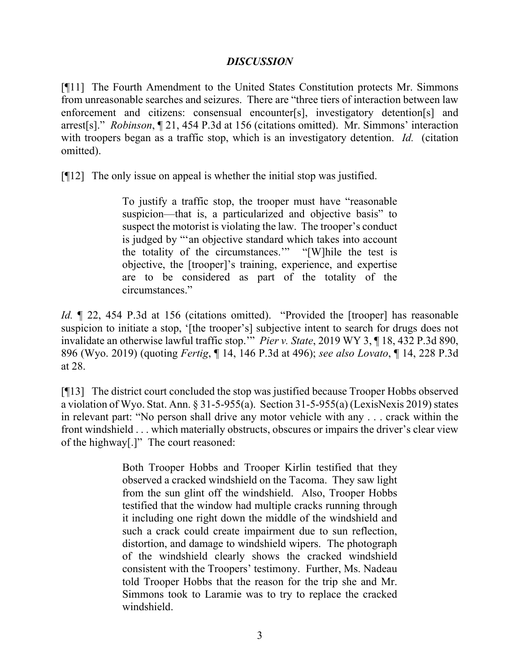# *DISCUSSION*

[¶11] The Fourth Amendment to the United States Constitution protects Mr. Simmons from unreasonable searches and seizures. There are "three tiers of interaction between law enforcement and citizens: consensual encounter[s], investigatory detention[s] and arrest[s]." *Robinson*, ¶ 21, 454 P.3d at 156 (citations omitted). Mr. Simmons' interaction with troopers began as a traffic stop, which is an investigatory detention. *Id.* (citation omitted).

[¶12] The only issue on appeal is whether the initial stop was justified.

To justify a traffic stop, the trooper must have "reasonable suspicion—that is, a particularized and objective basis" to suspect the motorist is violating the law. The trooper's conduct is judged by "'an objective standard which takes into account the totality of the circumstances.'" "[W]hile the test is objective, the [trooper]'s training, experience, and expertise are to be considered as part of the totality of the circumstances."

Id.  $\parallel$  22, 454 P.3d at 156 (citations omitted). "Provided the [trooper] has reasonable suspicion to initiate a stop, '[the trooper's] subjective intent to search for drugs does not invalidate an otherwise lawful traffic stop.'" *Pier v. State*, 2019 WY 3, ¶ 18, 432 P.3d 890, 896 (Wyo. 2019) (quoting *Fertig*, ¶ 14, 146 P.3d at 496); *see also Lovato*, ¶ 14, 228 P.3d at 28.

[¶13] The district court concluded the stop was justified because Trooper Hobbs observed a violation of Wyo. Stat. Ann. § 31-5-955(a). Section 31-5-955(a) (LexisNexis 2019) states in relevant part: "No person shall drive any motor vehicle with any . . . crack within the front windshield . . . which materially obstructs, obscures or impairs the driver's clear view of the highway[.]" The court reasoned:

> Both Trooper Hobbs and Trooper Kirlin testified that they observed a cracked windshield on the Tacoma. They saw light from the sun glint off the windshield. Also, Trooper Hobbs testified that the window had multiple cracks running through it including one right down the middle of the windshield and such a crack could create impairment due to sun reflection, distortion, and damage to windshield wipers. The photograph of the windshield clearly shows the cracked windshield consistent with the Troopers' testimony. Further, Ms. Nadeau told Trooper Hobbs that the reason for the trip she and Mr. Simmons took to Laramie was to try to replace the cracked windshield.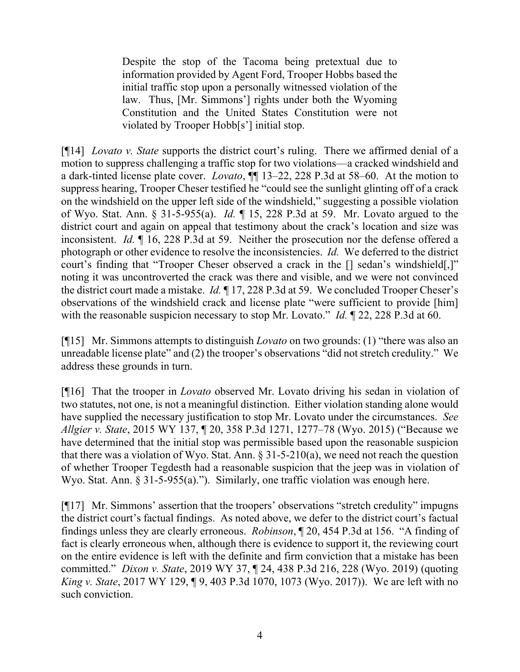Despite the stop of the Tacoma being pretextual due to information provided by Agent Ford, Trooper Hobbs based the initial traffic stop upon a personally witnessed violation of the law. Thus, [Mr. Simmons'] rights under both the Wyoming Constitution and the United States Constitution were not violated by Trooper Hobb[s'] initial stop.

[¶14] *Lovato v. State* supports the district court's ruling.There we affirmed denial of a motion to suppress challenging a traffic stop for two violations—a cracked windshield and a dark-tinted license plate cover. *Lovato*, ¶¶ 13–22, 228 P.3d at 58–60. At the motion to suppress hearing, Trooper Cheser testified he "could see the sunlight glinting off of a crack on the windshield on the upper left side of the windshield," suggesting a possible violation of Wyo. Stat. Ann. § 31-5-955(a). *Id.* ¶ 15, 228 P.3d at 59. Mr. Lovato argued to the district court and again on appeal that testimony about the crack's location and size was inconsistent. *Id.* ¶ 16, 228 P.3d at 59. Neither the prosecution nor the defense offered a photograph or other evidence to resolve the inconsistencies. *Id.* We deferred to the district court's finding that "Trooper Cheser observed a crack in the [] sedan's windshield[,]" noting it was uncontroverted the crack was there and visible, and we were not convinced the district court made a mistake. *Id.* ¶ 17, 228 P.3d at 59. We concluded Trooper Cheser's observations of the windshield crack and license plate "were sufficient to provide [him] with the reasonable suspicion necessary to stop Mr. Lovato." *Id.* ¶ 22, 228 P.3d at 60.

[¶15] Mr. Simmons attempts to distinguish *Lovato* on two grounds: (1) "there was also an unreadable license plate" and (2) the trooper's observations "did not stretch credulity." We address these grounds in turn.

[¶16] That the trooper in *Lovato* observed Mr. Lovato driving his sedan in violation of two statutes, not one, is not a meaningful distinction. Either violation standing alone would have supplied the necessary justification to stop Mr. Lovato under the circumstances. *See Allgier v. State*, 2015 WY 137, ¶ 20, 358 P.3d 1271, 1277–78 (Wyo. 2015) ("Because we have determined that the initial stop was permissible based upon the reasonable suspicion that there was a violation of Wyo. Stat. Ann.  $\S 31-5-210(a)$ , we need not reach the question of whether Trooper Tegdesth had a reasonable suspicion that the jeep was in violation of Wyo. Stat. Ann. § 31-5-955(a)."). Similarly, one traffic violation was enough here.

[¶17] Mr. Simmons' assertion that the troopers' observations "stretch credulity" impugns the district court's factual findings. As noted above, we defer to the district court's factual findings unless they are clearly erroneous. *Robinson*, ¶ 20, 454 P.3d at 156. "A finding of fact is clearly erroneous when, although there is evidence to support it, the reviewing court on the entire evidence is left with the definite and firm conviction that a mistake has been committed." *Dixon v. State*, 2019 WY 37, ¶ 24, 438 P.3d 216, 228 (Wyo. 2019) (quoting *King v. State*, 2017 WY 129, ¶ 9, 403 P.3d 1070, 1073 (Wyo. 2017)). We are left with no such conviction.